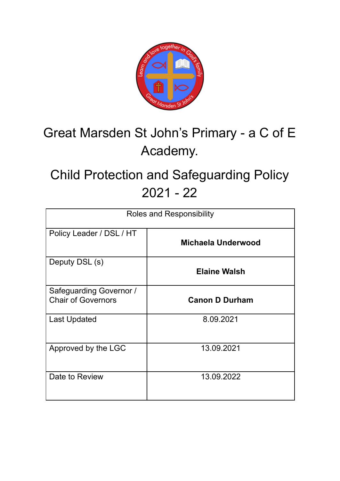

# Great Marsden St John's Primary - a C of E Academy.

# Child Protection and Safeguarding Policy 2021 - 22

| Roles and Responsibility                             |                       |  |
|------------------------------------------------------|-----------------------|--|
| Policy Leader / DSL / HT                             | Michaela Underwood    |  |
| Deputy DSL (s)                                       | <b>Elaine Walsh</b>   |  |
| Safeguarding Governor /<br><b>Chair of Governors</b> | <b>Canon D Durham</b> |  |
| <b>Last Updated</b>                                  | 8.09.2021             |  |
| Approved by the LGC                                  | 13.09.2021            |  |
| Date to Review                                       | 13.09.2022            |  |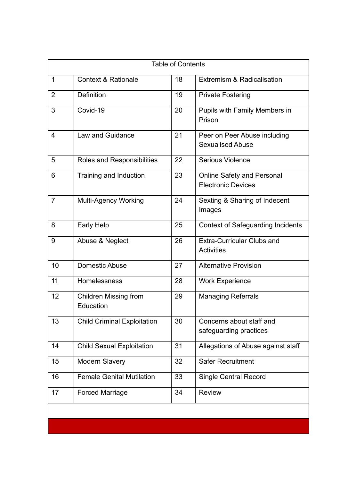| <b>Table of Contents</b> |                                           |    |                                                                |  |
|--------------------------|-------------------------------------------|----|----------------------------------------------------------------|--|
| $\mathbf{1}$             | <b>Context &amp; Rationale</b>            | 18 | Extremism & Radicalisation                                     |  |
| $\overline{2}$           | <b>Definition</b>                         | 19 | <b>Private Fostering</b>                                       |  |
| 3                        | Covid-19                                  | 20 | Pupils with Family Members in<br>Prison                        |  |
| $\overline{4}$           | Law and Guidance                          | 21 | Peer on Peer Abuse including<br><b>Sexualised Abuse</b>        |  |
| 5                        | Roles and Responsibilities                | 22 | <b>Serious Violence</b>                                        |  |
| 6                        | Training and Induction                    | 23 | <b>Online Safety and Personal</b><br><b>Electronic Devices</b> |  |
| $\overline{7}$           | <b>Multi-Agency Working</b>               | 24 | Sexting & Sharing of Indecent<br>Images                        |  |
| 8                        | <b>Early Help</b>                         | 25 | <b>Context of Safeguarding Incidents</b>                       |  |
| 9                        | Abuse & Neglect                           | 26 | <b>Extra-Curricular Clubs and</b><br><b>Activities</b>         |  |
| 10                       | <b>Domestic Abuse</b>                     | 27 | <b>Alternative Provision</b>                                   |  |
| 11                       | Homelessness                              | 28 | <b>Work Experience</b>                                         |  |
| 12                       | <b>Children Missing from</b><br>Education | 29 | <b>Managing Referrals</b>                                      |  |
| 13                       | <b>Child Criminal Exploitation</b>        | 30 | Concerns about staff and<br>safeguarding practices             |  |
| 14                       | <b>Child Sexual Exploitation</b>          | 31 | Allegations of Abuse against staff                             |  |
| 15                       | <b>Modern Slavery</b>                     | 32 | <b>Safer Recruitment</b>                                       |  |
| 16                       | <b>Female Genital Mutilation</b>          | 33 | <b>Single Central Record</b>                                   |  |
| 17                       | <b>Forced Marriage</b>                    | 34 | <b>Review</b>                                                  |  |
|                          |                                           |    |                                                                |  |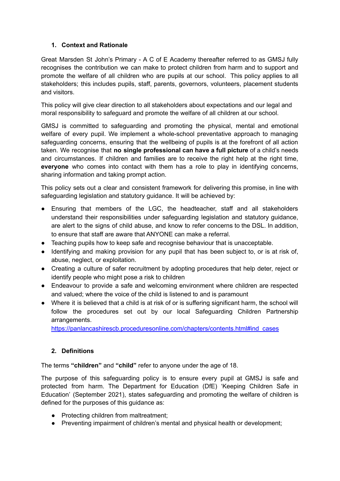# **1. Context and Rationale**

Great Marsden St John's Primary - A C of E Academy thereafter referred to as GMSJ fully recognises the contribution we can make to protect children from harm and to support and promote the welfare of all children who are pupils at our school. This policy applies to all stakeholders; this includes pupils, staff, parents, governors, volunteers, placement students and visitors.

This policy will give clear direction to all stakeholders about expectations and our legal and moral responsibility to safeguard and promote the welfare of all children at our school.

GMSJ is committed to safeguarding and promoting the physical, mental and emotional welfare of every pupil. We implement a whole-school preventative approach to managing safeguarding concerns, ensuring that the wellbeing of pupils is at the forefront of all action taken. We recognise that **no single professional can have a full picture** of a child's needs and circumstances. If children and families are to receive the right help at the right time, **everyone** who comes into contact with them has a role to play in identifying concerns, sharing information and taking prompt action.

This policy sets out a clear and consistent framework for delivering this promise, in line with safeguarding legislation and statutory guidance. It will be achieved by:

- Ensuring that members of the LGC, the headteacher, staff and all stakeholders understand their responsibilities under safeguarding legislation and statutory guidance, are alert to the signs of child abuse, and know to refer concerns to the DSL. In addition, to ensure that staff are aware that ANYONE can make a referral.
- Teaching pupils how to keep safe and recognise behaviour that is unacceptable.
- Identifying and making provision for any pupil that has been subject to, or is at risk of, abuse, neglect, or exploitation.
- Creating a culture of safer recruitment by adopting procedures that help deter, reject or identify people who might pose a risk to children
- Endeavour to provide a safe and welcoming environment where children are respected and valued; where the voice of the child is listened to and is paramount
- Where it is believed that a child is at risk of or is suffering significant harm, the school will follow the procedures set out by our local Safeguarding Children Partnership arrangements.

[https://panlancashirescb.proceduresonline.com/chapters/contents.html#ind\\_cases](https://panlancashirescb.proceduresonline.com/chapters/contents.html#ind_cases)

# **2. Definitions**

The terms **"children"** and **"child"** refer to anyone under the age of 18.

The purpose of this safeguarding policy is to ensure every pupil at GMSJ is safe and protected from harm. The Department for Education (DfE) 'Keeping Children Safe in Education' (September 2021), states safeguarding and promoting the welfare of children is defined for the purposes of this guidance as:

- Protecting children from maltreatment;
- Preventing impairment of children's mental and physical health or development;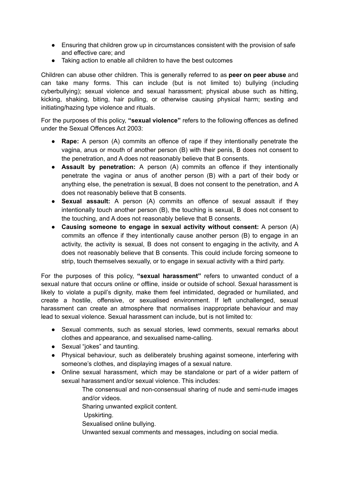- Ensuring that children grow up in circumstances consistent with the provision of safe and effective care; and
- Taking action to enable all children to have the best outcomes

Children can abuse other children. This is generally referred to as **peer on peer abuse** and can take many forms. This can include (but is not limited to) bullying (including cyberbullying); sexual violence and sexual harassment; physical abuse such as hitting, kicking, shaking, biting, hair pulling, or otherwise causing physical harm; sexting and initiating/hazing type violence and rituals.

For the purposes of this policy, **"sexual violence"** refers to the following offences as defined under the Sexual Offences Act 2003:

- **Rape:** A person (A) commits an offence of rape if they intentionally penetrate the vagina, anus or mouth of another person (B) with their penis, B does not consent to the penetration, and A does not reasonably believe that B consents.
- **Assault by penetration:** A person (A) commits an offence if they intentionally penetrate the vagina or anus of another person (B) with a part of their body or anything else, the penetration is sexual, B does not consent to the penetration, and A does not reasonably believe that B consents.
- **Sexual assault:** A person (A) commits an offence of sexual assault if they intentionally touch another person (B), the touching is sexual, B does not consent to the touching, and A does not reasonably believe that B consents.
- **Causing someone to engage in sexual activity without consent:** A person (A) commits an offence if they intentionally cause another person (B) to engage in an activity, the activity is sexual, B does not consent to engaging in the activity, and A does not reasonably believe that B consents. This could include forcing someone to strip, touch themselves sexually, or to engage in sexual activity with a third party.

For the purposes of this policy, **"sexual harassment"** refers to unwanted conduct of a sexual nature that occurs online or offline, inside or outside of school. Sexual harassment is likely to violate a pupil's dignity, make them feel intimidated, degraded or humiliated, and create a hostile, offensive, or sexualised environment. If left unchallenged, sexual harassment can create an atmosphere that normalises inappropriate behaviour and may lead to sexual violence. Sexual harassment can include, but is not limited to:

- Sexual comments, such as sexual stories, lewd comments, sexual remarks about clothes and appearance, and sexualised name-calling.
- Sexual "jokes" and taunting.
- Physical behaviour, such as deliberately brushing against someone, interfering with someone's clothes, and displaying images of a sexual nature.
- Online sexual harassment, which may be standalone or part of a wider pattern of sexual harassment and/or sexual violence. This includes:
	- The consensual and non-consensual sharing of nude and semi-nude images and/or videos.
	- Sharing unwanted explicit content.
	- Upskirting.
	- Sexualised online bullying.
	- Unwanted sexual comments and messages, including on social media.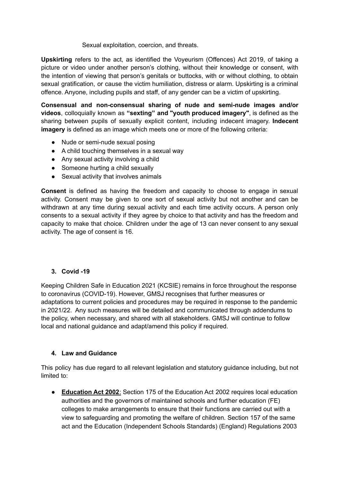Sexual exploitation, coercion, and threats.

**Upskirting** refers to the act, as identified the Voyeurism (Offences) Act 2019, of taking a picture or video under another person's clothing, without their knowledge or consent, with the intention of viewing that person's genitals or buttocks, with or without clothing, to obtain sexual gratification, or cause the victim humiliation, distress or alarm. Upskirting is a criminal offence. Anyone, including pupils and staff, of any gender can be a victim of upskirting.

**Consensual and non-consensual sharing of nude and semi-nude images and/or videos**, colloquially known as **"sexting" and "youth produced imagery"**, is defined as the sharing between pupils of sexually explicit content, including indecent imagery. **Indecent imagery** is defined as an image which meets one or more of the following criteria:

- Nude or semi-nude sexual posing
- A child touching themselves in a sexual way
- Any sexual activity involving a child
- Someone hurting a child sexually
- Sexual activity that involves animals

**Consent** is defined as having the freedom and capacity to choose to engage in sexual activity. Consent may be given to one sort of sexual activity but not another and can be withdrawn at any time during sexual activity and each time activity occurs. A person only consents to a sexual activity if they agree by choice to that activity and has the freedom and capacity to make that choice. Children under the age of 13 can never consent to any sexual activity. The age of consent is 16.

# **3. Covid -19**

Keeping Children Safe in Education 2021 (KCSIE) remains in force throughout the response to coronavirus (COVID-19). However, GMSJ recognises that further measures or adaptations to current policies and procedures may be required in response to the pandemic in 2021/22. Any such measures will be detailed and communicated through addendums to the policy, when necessary, and shared with all stakeholders. GMSJ will continue to follow local and national guidance and adapt/amend this policy if required.

#### **4. Law and Guidance**

This policy has due regard to all relevant legislation and statutory guidance including, but not limited to:

● **[Education](http://www.legislation.gov.uk/ukpga/2002/32/contents) Act 2002**: Section 175 of the Education Act 2002 requires local education authorities and the governors of maintained schools and further education (FE) colleges to make arrangements to ensure that their functions are carried out with a view to safeguarding and promoting the welfare of children. Section 157 of the same act and the Education (Independent Schools Standards) (England) Regulations 2003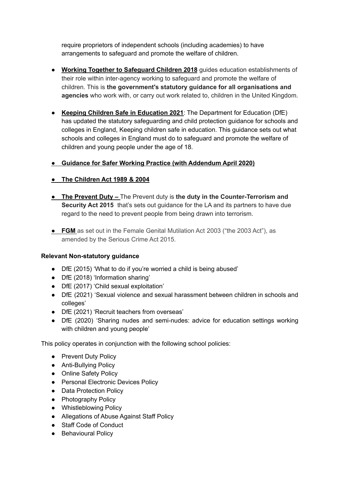require proprietors of independent schools (including academies) to have arrangements to safeguard and promote the welfare of children.

- **Working Together to [Safeguard](https://www.gov.uk/government/publications/working-together-to-safeguard-children--2) Children 2018** guides education establishments of their role within inter-agency working to safeguard and promote the welfare of children. This is **the government's statutory guidance for all organisations and agencies** who work with, or carry out work related to, children in the United Kingdom.
- **Keeping Children Safe in [Education](https://assets.publishing.service.gov.uk/government/uploads/system/uploads/attachment_data/file/892394/Keeping_children_safe_in_education_2020.pdf) 2021**: The Department for Education (DfE) has updated the statutory safeguarding and child protection guidance for schools and colleges in England, Keeping children safe in education. This guidance sets out what schools and colleges in England must do to safeguard and promote the welfare of children and young people under the age of 18.
- *●* **Guidance for Safer Working Practice (with [Addendum](https://www.saferrecruitmentconsortium.org/GSWP%20COVID%20addendum%20April%202020%20final-1.pdf) April 2020)**
- **● The [Children](http://www.legislation.gov.uk/ukpga/1989/41/contents) Act 1989 & 2004**
- **● The Prevent Duty –** The Prevent duty is **the duty in the Counter-Terrorism and Security Act 2015** that's sets out guidance for the LA and its partners to have due regard to the need to prevent people from being drawn into terrorism.
- **● FGM** as set out in the Female Genital Mutilation Act 2003 ("the 2003 Act"), as amended by the Serious Crime Act 2015.

# **Relevant Non-statutory guidance**

- DfE (2015) 'What to do if you're worried a child is being abused'
- DfE (2018) 'Information sharing'
- DfE (2017) 'Child sexual exploitation'
- DfE (2021) 'Sexual violence and sexual harassment between children in schools and colleges'
- DfE (2021) 'Recruit teachers from overseas'
- DfE (2020) 'Sharing nudes and semi-nudes: advice for education settings working with children and young people'

This policy operates in conjunction with the following school policies:

- Prevent Duty Policy
- Anti-Bullying Policy
- Online Safety Policy
- Personal Electronic Devices Policy
- Data Protection Policy
- Photography Policy
- Whistleblowing Policy
- Allegations of Abuse Against Staff Policy
- Staff Code of Conduct
- Behavioural Policy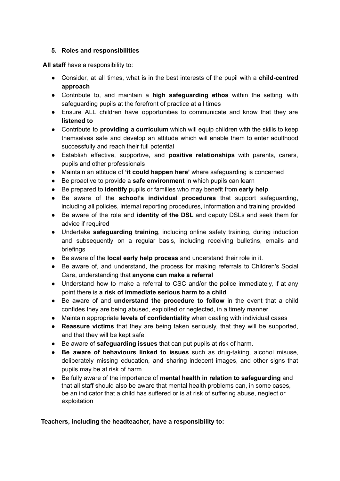# **5. Roles and responsibilities**

**All staff** have a responsibility to:

- **●** Consider, at all times, what is in the best interests of the pupil with a **child-centred approach**
- Contribute to, and maintain a **high safeguarding ethos** within the setting, with safeguarding pupils at the forefront of practice at all times
- **●** Ensure ALL children have opportunities to communicate and know that they are **listened to**
- Contribute to **providing a curriculum** which will equip children with the skills to keep themselves safe and develop an attitude which will enable them to enter adulthood successfully and reach their full potential
- Establish effective, supportive, and **positive relationships** with parents, carers, pupils and other professionals
- Maintain an attitude of **'it could happen here'** where safeguarding is concerned
- Be proactive to provide a **safe environment** in which pupils can learn
- Be prepared to **identify** pupils or families who may benefit from **early help**
- Be aware of the **school's individual procedures** that support safeguarding, including all policies, internal reporting procedures, information and training provided
- Be aware of the role and **identity of the DSL** and deputy DSLs and seek them for advice if required
- Undertake **safeguarding training**, including online safety training, during induction and subsequently on a regular basis, including receiving bulletins, emails and briefings
- Be aware of the **local early help process** and understand their role in it.
- Be aware of, and understand, the process for making referrals to Children's Social Care, understanding that **anyone can make a referral**
- **●** Understand how to make a referral to CSC and/or the police immediately, if at any point there is **a risk of immediate serious harm to a child**
- Be aware of and **understand the procedure to follow** in the event that a child confides they are being abused, exploited or neglected, in a timely manner
- Maintain appropriate **levels of confidentiality** when dealing with individual cases
- **Reassure victims** that they are being taken seriously, that they will be supported, and that they will be kept safe.
- Be aware of **safeguarding issues** that can put pupils at risk of harm.
- **Be aware of behaviours linked to issues** such as drug-taking, alcohol misuse, deliberately missing education, and sharing indecent images, and other signs that pupils may be at risk of harm
- Be fully aware of the importance of **mental health in relation to safeguarding** and that all staff should also be aware that mental health problems can, in some cases, be an indicator that a child has suffered or is at risk of suffering abuse, neglect or exploitation

# **Teachers, including the headteacher, have a responsibility to:**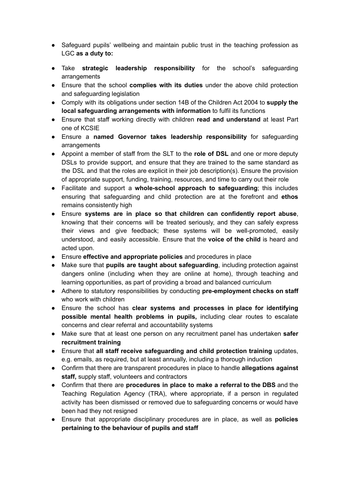- Safeguard pupils' wellbeing and maintain public trust in the teaching profession as LGC **as a duty to:**
- Take **strategic leadership responsibility** for the school's safeguarding arrangements
- Ensure that the school **complies with its duties** under the above child protection and safeguarding legislation
- Comply with its obligations under section 14B of the Children Act 2004 to **supply the local safeguarding arrangements with information** to fulfil its functions
- Ensure that staff working directly with children **read and understand** at least Part one of KCSIE
- Ensure a **named Governor takes leadership responsibility** for safeguarding arrangements
- Appoint a member of staff from the SLT to the **role of DSL** and one or more deputy DSLs to provide support, and ensure that they are trained to the same standard as the DSL and that the roles are explicit in their job description(s). Ensure the provision of appropriate support, funding, training, resources, and time to carry out their role
- Facilitate and support a **whole-school approach to safeguarding**; this includes ensuring that safeguarding and child protection are at the forefront and **ethos** remains consistently high
- Ensure **systems are in place so that children can confidently report abuse**, knowing that their concerns will be treated seriously, and they can safely express their views and give feedback; these systems will be well-promoted, easily understood, and easily accessible. Ensure that the **voice of the child** is heard and acted upon.
- Ensure **effective and appropriate policies** and procedures in place
- Make sure that **pupils are taught about safeguarding**, including protection against dangers online (including when they are online at home), through teaching and learning opportunities, as part of providing a broad and balanced curriculum
- Adhere to statutory responsibilities by conducting **pre-employment checks on staff** who work with children
- Ensure the school has **clear systems and processes in place for identifying possible mental health problems in pupils,** including clear routes to escalate concerns and clear referral and accountability systems
- Make sure that at least one person on any recruitment panel has undertaken **safer recruitment training**
- Ensure that **all staff receive safeguarding and child protection training** updates, e.g. emails, as required, but at least annually, including a thorough induction
- Confirm that there are transparent procedures in place to handle **allegations against staff,** supply staff, volunteers and contractors
- Confirm that there are **procedures in place to make a referral to the DBS** and the Teaching Regulation Agency (TRA), where appropriate, if a person in regulated activity has been dismissed or removed due to safeguarding concerns or would have been had they not resigned
- **●** Ensure that appropriate disciplinary procedures are in place, as well as **policies pertaining to the behaviour of pupils and staff**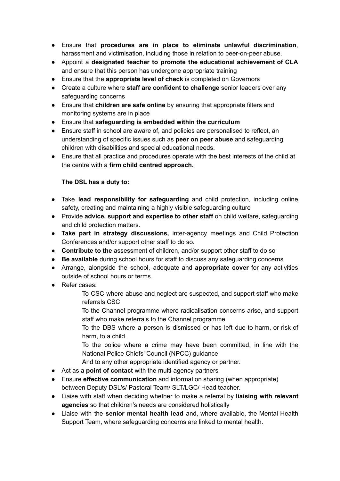- Ensure that **procedures are in place to eliminate unlawful discrimination**, harassment and victimisation, including those in relation to peer-on-peer abuse.
- Appoint a **designated teacher to promote the educational achievement of CLA** and ensure that this person has undergone appropriate training
- Ensure that the **appropriate level of check** is completed on Governors
- Create a culture where **staff are confident to challenge** senior leaders over any safeguarding concerns
- Ensure that **children are safe online** by ensuring that appropriate filters and monitoring systems are in place
- Ensure that **safeguarding is embedded within the curriculum**
- Ensure staff in school are aware of, and policies are personalised to reflect, an understanding of specific issues such as **peer on peer abuse** and safeguarding children with disabilities and special educational needs.
- Ensure that all practice and procedures operate with the best interests of the child at the centre with a **firm child centred approach.**

# **The DSL has a duty to:**

- Take **lead responsibility for safeguarding** and child protection, including online safety, creating and maintaining a highly visible safeguarding culture
- Provide **advice, support and expertise to other staff** on child welfare, safeguarding and child protection matters.
- **Take part in strategy discussions,** inter-agency meetings and Child Protection Conferences and/or support other staff to do so.
- **Contribute to the** assessment of children, and/or support other staff to do so
- **Be available** during school hours for staff to discuss any safeguarding concerns
- Arrange, alongside the school, adequate and **appropriate cover** for any activities outside of school hours or terms.
- Refer cases:
	- To CSC where abuse and neglect are suspected, and support staff who make referrals CSC
	- To the Channel programme where radicalisation concerns arise, and support staff who make referrals to the Channel programme
	- To the DBS where a person is dismissed or has left due to harm, or risk of harm, to a child.
	- To the police where a crime may have been committed, in line with the National Police Chiefs' Council (NPCC) guidance
	- And to any other appropriate identified agency or partner.
- Act as a **point of contact** with the multi-agency partners
- Ensure **effective communication** and information sharing (when appropriate) between Deputy DSL's/ Pastoral Team/ SLT/LGC/ Head teacher.
- Liaise with staff when deciding whether to make a referral by **liaising with relevant agencies** so that children's needs are considered holistically
- Liaise with the **senior mental health lead** and, where available, the Mental Health Support Team, where safeguarding concerns are linked to mental health.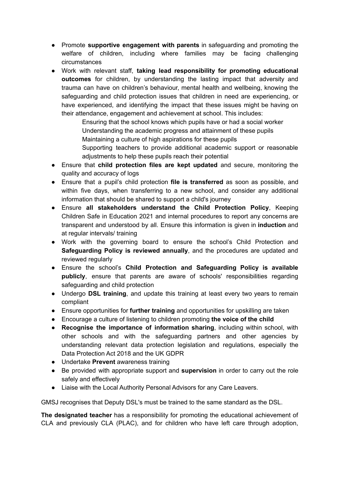- Promote **supportive engagement with parents** in safeguarding and promoting the welfare of children, including where families may be facing challenging circumstances
- Work with relevant staff, **taking lead responsibility for promoting educational outcomes** for children, by understanding the lasting impact that adversity and trauma can have on children's behaviour, mental health and wellbeing, knowing the safeguarding and child protection issues that children in need are experiencing, or have experienced, and identifying the impact that these issues might be having on their attendance, engagement and achievement at school. This includes:

Ensuring that the school knows which pupils have or had a social worker Understanding the academic progress and attainment of these pupils Maintaining a culture of high aspirations for these pupils Supporting teachers to provide additional academic support or reasonable adjustments to help these pupils reach their potential

- Ensure that **child protection files are kept updated** and secure, monitoring the quality and accuracy of logs
- Ensure that a pupil's child protection **file is transferred** as soon as possible, and within five days, when transferring to a new school, and consider any additional information that should be shared to support a child's journey
- Ensure **all stakeholders understand the Child Protection Policy**, Keeping Children Safe in Education 2021 and internal procedures to report any concerns are transparent and understood by all. Ensure this information is given in **induction** and at regular intervals/ training
- Work with the governing board to ensure the school's Child Protection and **Safeguarding Policy is reviewed annually**, and the procedures are updated and reviewed regularly
- Ensure the school's **Child Protection and Safeguarding Policy is available publicly**, ensure that parents are aware of schools' responsibilities regarding safeguarding and child protection
- Undergo **DSL training**, and update this training at least every two years to remain compliant
- Ensure opportunities for **further training** and opportunities for upskilling are taken
- Encourage a culture of listening to children promoting **the voice of the child**
- **Recognise the importance of information sharing**, including within school, with other schools and with the safeguarding partners and other agencies by understanding relevant data protection legislation and regulations, especially the Data Protection Act 2018 and the UK GDPR
- Undertake **Prevent** awareness training
- Be provided with appropriate support and **supervision** in order to carry out the role safely and effectively
- Liaise with the Local Authority Personal Advisors for any Care Leavers.

GMSJ recognises that Deputy DSL's must be trained to the same standard as the DSL.

**The designated teacher** has a responsibility for promoting the educational achievement of CLA and previously CLA (PLAC), and for children who have left care through adoption,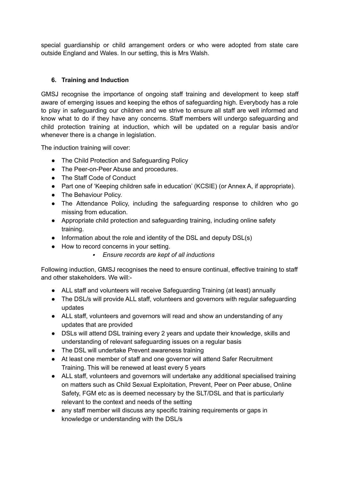special guardianship or child arrangement orders or who were adopted from state care outside England and Wales. In our setting, this is Mrs Walsh.

# **6. Training and Induction**

GMSJ recognise the importance of ongoing staff training and development to keep staff aware of emerging issues and keeping the ethos of safeguarding high. Everybody has a role to play in safeguarding our children and we strive to ensure all staff are well informed and know what to do if they have any concerns. Staff members will undergo safeguarding and child protection training at induction, which will be updated on a regular basis and/or whenever there is a change in legislation.

The induction training will cover:

- The Child Protection and Safeguarding Policy
- The Peer-on-Peer Abuse and procedures.
- The Staff Code of Conduct
- Part one of 'Keeping children safe in education' (KCSIE) (or Annex A, if appropriate).
- The Behaviour Policy.
- The Attendance Policy, including the safeguarding response to children who go missing from education.
- Appropriate child protection and safeguarding training, including online safety training.
- Information about the role and identity of the DSL and deputy DSL(s)
- How to record concerns in your setting.
	- *Ensure records are kept of all inductions*

Following induction, GMSJ recognises the need to ensure continual, effective training to staff and other stakeholders. We will:-

- ALL staff and volunteers will receive Safeguarding Training (at least) annually
- The DSL/s will provide ALL staff, volunteers and governors with regular safeguarding updates
- ALL staff, volunteers and governors will read and show an understanding of any updates that are provided
- DSLs will attend DSL training every 2 years and update their knowledge, skills and understanding of relevant safeguarding issues on a regular basis
- The DSL will undertake Prevent awareness training
- At least one member of staff and one governor will attend Safer Recruitment Training. This will be renewed at least every 5 years
- ALL staff, volunteers and governors will undertake any additional specialised training on matters such as Child Sexual Exploitation, Prevent, Peer on Peer abuse, Online Safety, FGM etc as is deemed necessary by the SLT/DSL and that is particularly relevant to the context and needs of the setting
- any staff member will discuss any specific training requirements or gaps in knowledge or understanding with the DSL/s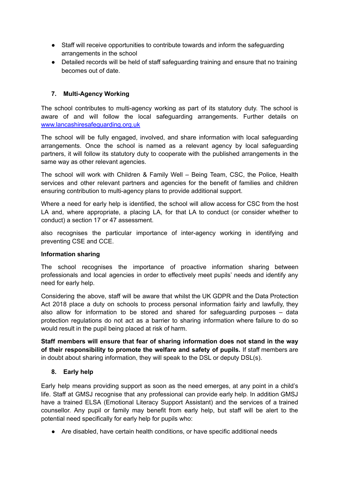- Staff will receive opportunities to contribute towards and inform the safeguarding arrangements in the school
- Detailed records will be held of staff safeguarding training and ensure that no training becomes out of date.

# **7. Multi-Agency Working**

The school contributes to multi-agency working as part of its statutory duty. The school is aware of and will follow the local safeguarding arrangements. Further details on [www.lancashiresafeguarding.org.uk](http://www.lancashiresafeguarding.org.uk)

The school will be fully engaged, involved, and share information with local safeguarding arrangements. Once the school is named as a relevant agency by local safeguarding partners, it will follow its statutory duty to cooperate with the published arrangements in the same way as other relevant agencies.

The school will work with Children & Family Well – Being Team, CSC, the Police, Health services and other relevant partners and agencies for the benefit of families and children ensuring contribution to multi-agency plans to provide additional support.

Where a need for early help is identified, the school will allow access for CSC from the host LA and, where appropriate, a placing LA, for that LA to conduct (or consider whether to conduct) a section 17 or 47 assessment.

also recognises the particular importance of inter-agency working in identifying and preventing CSE and CCE.

# **Information sharing**

The school recognises the importance of proactive information sharing between professionals and local agencies in order to effectively meet pupils' needs and identify any need for early help.

Considering the above, staff will be aware that whilst the UK GDPR and the Data Protection Act 2018 place a duty on schools to process personal information fairly and lawfully, they also allow for information to be stored and shared for safeguarding purposes – data protection regulations do not act as a barrier to sharing information where failure to do so would result in the pupil being placed at risk of harm.

**Staff members will ensure that fear of sharing information does not stand in the way of their responsibility to promote the welfare and safety of pupils.** If staff members are in doubt about sharing information, they will speak to the DSL or deputy DSL(s).

# **8. Early help**

Early help means providing support as soon as the need emerges, at any point in a child's life. Staff at GMSJ recognise that any professional can provide early help. In addition GMSJ have a trained ELSA (Emotional Literacy Support Assistant) and the services of a trained counsellor. Any pupil or family may benefit from early help, but staff will be alert to the potential need specifically for early help for pupils who:

● Are disabled, have certain health conditions, or have specific additional needs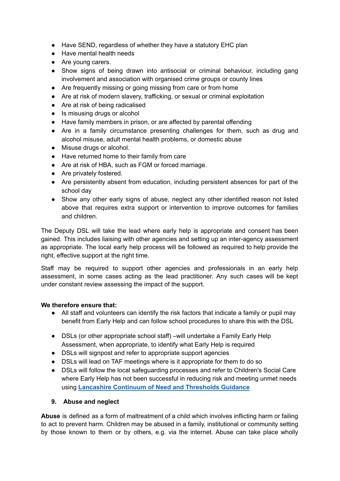- Have SEND, regardless of whether they have a statutory EHC plan
- Have mental health needs
- Are young carers.
- Show signs of being drawn into antisocial or criminal behaviour, including gang involvement and association with organised crime groups or county lines
- Are frequently missing or going missing from care or from home
- Are at risk of modern slavery, trafficking, or sexual or criminal exploitation
- Are at risk of being radicalised
- Is misusing drugs or alcohol
- Have family members in prison, or are affected by parental offending
- Are in a family circumstance presenting challenges for them, such as drug and alcohol misuse, adult mental health problems, or domestic abuse
- Misuse drugs or alcohol.
- Have returned home to their family from care
- Are at risk of HBA, such as FGM or forced marriage.
- Are privately fostered.
- Are persistently absent from education, including persistent absences for part of the school day
- Show any other early signs of abuse, neglect any other identified reason not listed above that requires extra support or intervention to improve outcomes for families and children.

The Deputy DSL will take the lead where early help is appropriate and consent has been gained. This includes liaising with other agencies and setting up an inter-agency assessment as appropriate. The local early help process will be followed as required to help provide the right, effective support at the right time.

Staff may be required to support other agencies and professionals in an early help assessment, in some cases acting as the lead practitioner. Any such cases will be kept under constant review assessing the impact of the support.

#### **We therefore ensure that:**

- **●** All staff and volunteers can identify the risk factors that indicate a family or pupil may benefit from Early Help and can follow school procedures to share this with the DSL
- **●** DSLs (or other appropriate school staff) –will undertake a Family Early Help Assessment, when appropriate, to identify what Early Help is required
- DSLs will signpost and refer to appropriate support agencies
- DSLs will lead on TAF meetings where is it appropriate for them to do so
- DSLs will follow the local safeguarding processes and refer to Children's Social Care where Early Help has not been successful in reducing risk and meeting unmet needs using **Lancashire Continuum of Need and [Thresholds](http://www.lancashiresafeguarding.org.uk/resources/assessment-and-referral.aspx) Guidance**

#### **9. Abuse and neglect**

**Abuse** is defined as a form of maltreatment of a child which involves inflicting harm or failing to act to prevent harm. Children may be abused in a family, institutional or community setting by those known to them or by others, e.g. via the internet. Abuse can take place wholly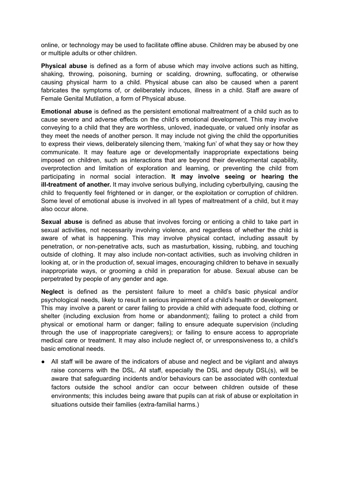online, or technology may be used to facilitate offline abuse. Children may be abused by one or multiple adults or other children.

**Physical abuse** is defined as a form of abuse which may involve actions such as hitting, shaking, throwing, poisoning, burning or scalding, drowning, suffocating, or otherwise causing physical harm to a child. Physical abuse can also be caused when a parent fabricates the symptoms of, or deliberately induces, illness in a child. Staff are aware of Female Genital Mutilation, a form of Physical abuse.

**Emotional abuse** is defined as the persistent emotional maltreatment of a child such as to cause severe and adverse effects on the child's emotional development. This may involve conveying to a child that they are worthless, unloved, inadequate, or valued only insofar as they meet the needs of another person. It may include not giving the child the opportunities to express their views, deliberately silencing them, 'making fun' of what they say or how they communicate. It may feature age or developmentally inappropriate expectations being imposed on children, such as interactions that are beyond their developmental capability, overprotection and limitation of exploration and learning, or preventing the child from participating in normal social interaction. **It may involve seeing or hearing the ill-treatment of another.** It may involve serious bullying, including cyberbullying, causing the child to frequently feel frightened or in danger, or the exploitation or corruption of children. Some level of emotional abuse is involved in all types of maltreatment of a child, but it may also occur alone.

**Sexual abuse** is defined as abuse that involves forcing or enticing a child to take part in sexual activities, not necessarily involving violence, and regardless of whether the child is aware of what is happening. This may involve physical contact, including assault by penetration, or non-penetrative acts, such as masturbation, kissing, rubbing, and touching outside of clothing. It may also include non-contact activities, such as involving children in looking at, or in the production of, sexual images, encouraging children to behave in sexually inappropriate ways, or grooming a child in preparation for abuse. Sexual abuse can be perpetrated by people of any gender and age.

**Neglect** is defined as the persistent failure to meet a child's basic physical and/or psychological needs, likely to result in serious impairment of a child's health or development. This may involve a parent or carer failing to provide a child with adequate food, clothing or shelter (including exclusion from home or abandonment); failing to protect a child from physical or emotional harm or danger; failing to ensure adequate supervision (including through the use of inappropriate caregivers); or failing to ensure access to appropriate medical care or treatment. It may also include neglect of, or unresponsiveness to, a child's basic emotional needs.

● All staff will be aware of the indicators of abuse and neglect and be vigilant and always raise concerns with the DSL. All staff, especially the DSL and deputy DSL(s), will be aware that safeguarding incidents and/or behaviours can be associated with contextual factors outside the school and/or can occur between children outside of these environments; this includes being aware that pupils can at risk of abuse or exploitation in situations outside their families (extra-familial harms.)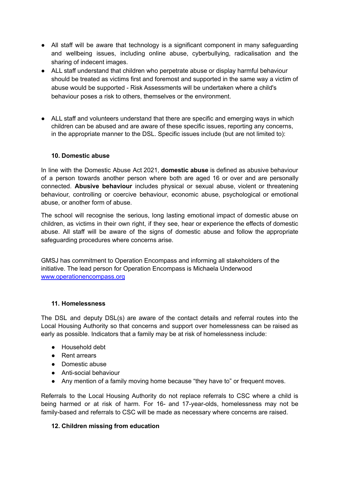- All staff will be aware that technology is a significant component in many safeguarding and wellbeing issues, including online abuse, cyberbullying, radicalisation and the sharing of indecent images.
- ALL staff understand that children who perpetrate abuse or display harmful behaviour should be treated as victims first and foremost and supported in the same way a victim of abuse would be supported - Risk Assessments will be undertaken where a child's behaviour poses a risk to others, themselves or the environment.
- ALL staff and volunteers understand that there are specific and emerging ways in which children can be abused and are aware of these specific issues, reporting any concerns, in the appropriate manner to the DSL. Specific issues include (but are not limited to):

## **10. Domestic abuse**

In line with the Domestic Abuse Act 2021, **domestic abuse** is defined as abusive behaviour of a person towards another person where both are aged 16 or over and are personally connected. **Abusive behaviour** includes physical or sexual abuse, violent or threatening behaviour, controlling or coercive behaviour, economic abuse, psychological or emotional abuse, or another form of abuse.

The school will recognise the serious, long lasting emotional impact of domestic abuse on children, as victims in their own right, if they see, hear or experience the effects of domestic abuse. All staff will be aware of the signs of domestic abuse and follow the appropriate safeguarding procedures where concerns arise.

GMSJ has commitment to Operation Encompass and informing all stakeholders of the initiative. The lead person for Operation Encompass is Michaela Underwood [www.operationencompass.org](http://www.operationencompass.org)

#### **11. Homelessness**

The DSL and deputy DSL(s) are aware of the contact details and referral routes into the Local Housing Authority so that concerns and support over homelessness can be raised as early as possible. Indicators that a family may be at risk of homelessness include:

- Household debt
- Rent arrears
- Domestic abuse
- Anti-social behaviour
- Any mention of a family moving home because "they have to" or frequent moves.

Referrals to the Local Housing Authority do not replace referrals to CSC where a child is being harmed or at risk of harm. For 16- and 17-year-olds, homelessness may not be family-based and referrals to CSC will be made as necessary where concerns are raised.

#### **12. Children missing from education**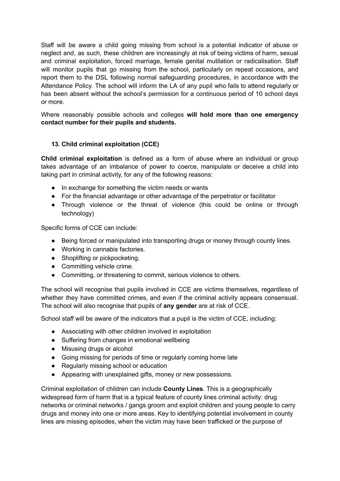Staff will be aware a child going missing from school is a potential indicator of abuse or neglect and, as such, these children are increasingly at risk of being victims of harm, sexual and criminal exploitation, forced marriage, female genital mutilation or radicalisation. Staff will monitor pupils that go missing from the school, particularly on repeat occasions, and report them to the DSL following normal safeguarding procedures, in accordance with the Attendance Policy. The school will inform the LA of any pupil who fails to attend regularly or has been absent without the school's permission for a continuous period of 10 school days or more.

Where reasonably possible schools and colleges **will hold more than one emergency contact number for their pupils and students.**

## **13. Child criminal exploitation (CCE)**

**Child criminal exploitation** is defined as a form of abuse where an individual or group takes advantage of an imbalance of power to coerce, manipulate or deceive a child into taking part in criminal activity, for any of the following reasons:

- In exchange for something the victim needs or wants
- For the financial advantage or other advantage of the perpetrator or facilitator
- Through violence or the threat of violence (this could be online or through technology)

Specific forms of CCE can include:

- Being forced or manipulated into transporting drugs or money through county lines.
- Working in cannabis factories.
- Shoplifting or pickpocketing.
- Committing vehicle crime.
- Committing, or threatening to commit, serious violence to others.

The school will recognise that pupils involved in CCE are victims themselves, regardless of whether they have committed crimes, and even if the criminal activity appears consensual. The school will also recognise that pupils of **any gender** are at risk of CCE.

School staff will be aware of the indicators that a pupil is the victim of CCE, including:

- Associating with other children involved in exploitation
- Suffering from changes in emotional wellbeing
- Misusing drugs or alcohol
- Going missing for periods of time or regularly coming home late
- Regularly missing school or education
- Appearing with unexplained gifts, money or new possessions.

Criminal exploitation of children can include **County Lines**. This is a geographically widespread form of harm that is a typical feature of county lines criminal activity: drug networks or criminal networks / gangs groom and exploit children and young people to carry drugs and money into one or more areas. Key to identifying potential involvement in county lines are missing episodes, when the victim may have been trafficked or the purpose of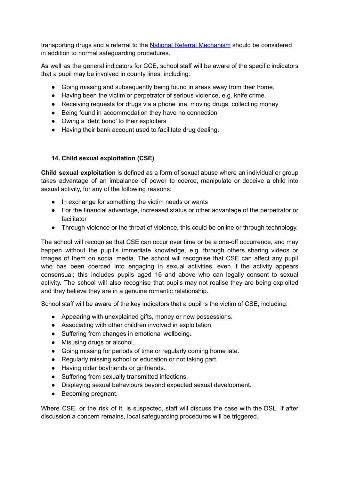transporting drugs and a referral to the National Referral [Mechanism](https://www.gov.uk/government/publications/human-trafficking-victims-referral-and-assessment-forms/guidance-on-the-national-referral-mechanism-for-potential-adult-victims-of-modern-slavery-england-and-wales#what-the-national-referral-mechanism-is) should be considered in addition to normal safeguarding procedures.

As well as the general indicators for CCE, school staff will be aware of the specific indicators that a pupil may be involved in county lines, including:

- Going missing and subsequently being found in areas away from their home.
- Having been the victim or perpetrator of serious violence, e.g. knife crime.
- Receiving requests for drugs via a phone line, moving drugs, collecting money
- Being found in accommodation they have no connection
- Owing a 'debt bond' to their exploiters
- Having their bank account used to facilitate drug dealing.

# **14. Child sexual exploitation (CSE)**

**Child sexual exploitation** is defined as a form of sexual abuse where an individual or group takes advantage of an imbalance of power to coerce, manipulate or deceive a child into sexual activity, for any of the following reasons:

- In exchange for something the victim needs or wants
- For the financial advantage, increased status or other advantage of the perpetrator or facilitator
- Through violence or the threat of violence, this could be online or through technology.

The school will recognise that CSE can occur over time or be a one-off occurrence, and may happen without the pupil's immediate knowledge, e.g. through others sharing videos or images of them on social media. The school will recognise that CSE can affect any pupil who has been coerced into engaging in sexual activities, even if the activity appears consensual; this includes pupils aged 16 and above who can legally consent to sexual activity. The school will also recognise that pupils may not realise they are being exploited and they believe they are in a genuine romantic relationship.

School staff will be aware of the key indicators that a pupil is the victim of CSE, including:

- Appearing with unexplained gifts, money or new possessions.
- Associating with other children involved in exploitation.
- Suffering from changes in emotional wellbeing.
- Misusing drugs or alcohol.
- Going missing for periods of time or regularly coming home late.
- Regularly missing school or education or not taking part.
- Having older boyfriends or girlfriends.
- Suffering from sexually transmitted infections.
- Displaying sexual behaviours beyond expected sexual development.
- Becoming pregnant.

Where CSE, or the risk of it, is suspected, staff will discuss the case with the DSL. If after discussion a concern remains, local safeguarding procedures will be triggered.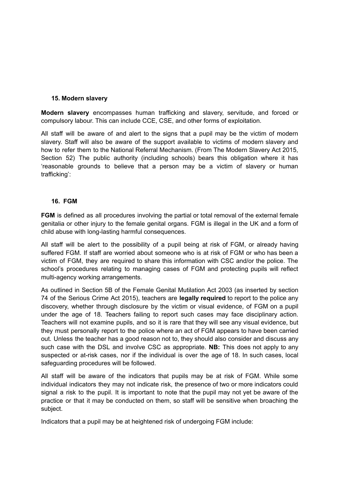#### **15. Modern slavery**

**Modern slavery** encompasses human trafficking and slavery, servitude, and forced or compulsory labour. This can include CCE, CSE, and other forms of exploitation.

All staff will be aware of and alert to the signs that a pupil may be the victim of modern slavery. Staff will also be aware of the support available to victims of modern slavery and how to refer them to the National Referral Mechanism. (From The Modern Slavery Act 2015, Section 52) The public authority (including schools) bears this obligation where it has 'reasonable grounds to believe that a person may be a victim of slavery or human trafficking':

## **16. FGM**

**FGM** is defined as all procedures involving the partial or total removal of the external female genitalia or other injury to the female genital organs. FGM is illegal in the UK and a form of child abuse with long-lasting harmful consequences.

All staff will be alert to the possibility of a pupil being at risk of FGM, or already having suffered FGM. If staff are worried about someone who is at risk of FGM or who has been a victim of FGM, they are required to share this information with CSC and/or the police. The school's procedures relating to managing cases of FGM and protecting pupils will reflect multi-agency working arrangements.

As outlined in Section 5B of the Female Genital Mutilation Act 2003 (as inserted by section 74 of the Serious Crime Act 2015), teachers are **legally required** to report to the police any discovery, whether through disclosure by the victim or visual evidence, of FGM on a pupil under the age of 18. Teachers failing to report such cases may face disciplinary action. Teachers will not examine pupils, and so it is rare that they will see any visual evidence, but they must personally report to the police where an act of FGM appears to have been carried out. Unless the teacher has a good reason not to, they should also consider and discuss any such case with the DSL and involve CSC as appropriate. **NB:** This does not apply to any suspected or at-risk cases, nor if the individual is over the age of 18. In such cases, local safeguarding procedures will be followed.

All staff will be aware of the indicators that pupils may be at risk of FGM. While some individual indicators they may not indicate risk, the presence of two or more indicators could signal a risk to the pupil. It is important to note that the pupil may not yet be aware of the practice or that it may be conducted on them, so staff will be sensitive when broaching the subject.

Indicators that a pupil may be at heightened risk of undergoing FGM include: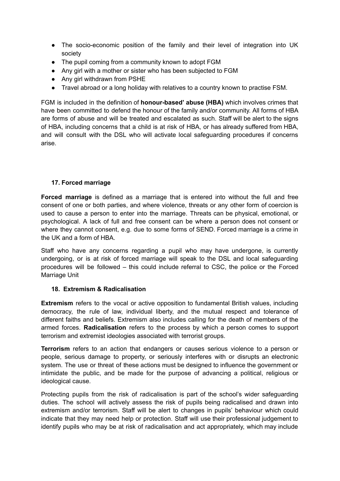- The socio-economic position of the family and their level of integration into UK society
- The pupil coming from a community known to adopt FGM
- Any girl with a mother or sister who has been subjected to FGM
- Any girl withdrawn from PSHE
- Travel abroad or a long holiday with relatives to a country known to practise FSM.

FGM is included in the definition of **honour-based' abuse (HBA)** which involves crimes that have been committed to defend the honour of the family and/or community. All forms of HBA are forms of abuse and will be treated and escalated as such. Staff will be alert to the signs of HBA, including concerns that a child is at risk of HBA, or has already suffered from HBA, and will consult with the DSL who will activate local safeguarding procedures if concerns arise.

## **17. Forced marriage**

**Forced marriage** is defined as a marriage that is entered into without the full and free consent of one or both parties, and where violence, threats or any other form of coercion is used to cause a person to enter into the marriage. Threats can be physical, emotional, or psychological. A lack of full and free consent can be where a person does not consent or where they cannot consent, e.g. due to some forms of SEND. Forced marriage is a crime in the UK and a form of HBA.

Staff who have any concerns regarding a pupil who may have undergone, is currently undergoing, or is at risk of forced marriage will speak to the DSL and local safeguarding procedures will be followed – this could include referral to CSC, the police or the Forced Marriage Unit

#### **18. Extremism & Radicalisation**

**Extremism** refers to the vocal or active opposition to fundamental British values, including democracy, the rule of law, individual liberty, and the mutual respect and tolerance of different faiths and beliefs. Extremism also includes calling for the death of members of the armed forces. **Radicalisation** refers to the process by which a person comes to support terrorism and extremist ideologies associated with terrorist groups.

**Terrorism** refers to an action that endangers or causes serious violence to a person or people, serious damage to property, or seriously interferes with or disrupts an electronic system. The use or threat of these actions must be designed to influence the government or intimidate the public, and be made for the purpose of advancing a political, religious or ideological cause.

Protecting pupils from the risk of radicalisation is part of the school's wider safeguarding duties. The school will actively assess the risk of pupils being radicalised and drawn into extremism and/or terrorism. Staff will be alert to changes in pupils' behaviour which could indicate that they may need help or protection. Staff will use their professional judgement to identify pupils who may be at risk of radicalisation and act appropriately, which may include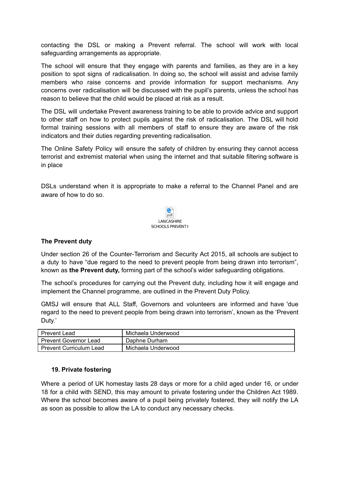contacting the DSL or making a Prevent referral. The school will work with local safeguarding arrangements as appropriate.

The school will ensure that they engage with parents and families, as they are in a key position to spot signs of radicalisation. In doing so, the school will assist and advise family members who raise concerns and provide information for support mechanisms. Any concerns over radicalisation will be discussed with the pupil's parents, unless the school has reason to believe that the child would be placed at risk as a result.

The DSL will undertake Prevent awareness training to be able to provide advice and support to other staff on how to protect pupils against the risk of radicalisation. The DSL will hold formal training sessions with all members of staff to ensure they are aware of the risk indicators and their duties regarding preventing radicalisation.

The Online Safety Policy will ensure the safety of children by ensuring they cannot access terrorist and extremist material when using the internet and that suitable filtering software is in place

DSLs understand when it is appropriate to make a referral to the Channel Panel and are aware of how to do so.



#### **The Prevent duty**

Under section 26 of the Counter-Terrorism and Security Act 2015, all schools are subject to a duty to have "due regard to the need to prevent people from being drawn into terrorism", known as **the Prevent duty,** forming part of the school's wider safeguarding obligations.

The school's procedures for carrying out the Prevent duty, including how it will engage and implement the Channel programme, are outlined in the Prevent Duty Policy.

GMSJ will ensure that ALL Staff, Governors and volunteers are informed and have 'due regard to the need to prevent people from being drawn into terrorism', known as the 'Prevent Duty.'

| <b>Prevent Lead</b>            | . Michaela Underwood |
|--------------------------------|----------------------|
| <b>Prevent Governor Lead</b>   | Daphne Durham        |
| <b>Prevent Curriculum Lead</b> | Michaela Underwood   |

#### **19. Private fostering**

Where a period of UK homestay lasts 28 days or more for a child aged under 16, or under 18 for a child with SEND, this may amount to private fostering under the Children Act 1989. Where the school becomes aware of a pupil being privately fostered, they will notify the LA as soon as possible to allow the LA to conduct any necessary checks.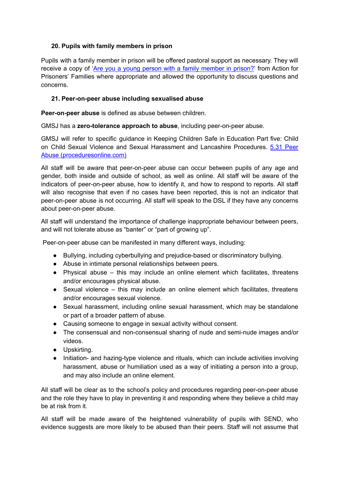# **20. Pupils with family members in prison**

Pupils with a family member in prison will be offered pastoral support as necessary. They will receive a copy of 'Are you a young person with a family [member](https://www.nicco.org.uk/directory-of-resources) in prison?' from Action for Prisoners' Families where appropriate and allowed the opportunity to discuss questions and concerns.

# **21. Peer-on-peer abuse including sexualised abuse**

**Peer-on-peer abuse** is defined as abuse between children.

GMSJ has a **zero-tolerance approach to abuse**, including peer-on-peer abuse.

GMSJ will refer to specific guidance in Keeping Children Safe in Education Part five: Child on Child Sexual Violence and Sexual Harassment and Lancashire Procedures. 5.31 [Peer](https://panlancashirescb.proceduresonline.com/chapters/p_peer_abuse.html) Abuse [\(proceduresonline.com\)](https://panlancashirescb.proceduresonline.com/chapters/p_peer_abuse.html)

All staff will be aware that peer-on-peer abuse can occur between pupils of any age and gender, both inside and outside of school, as well as online. All staff will be aware of the indicators of peer-on-peer abuse, how to identify it, and how to respond to reports. All staff will also recognise that even if no cases have been reported, this is not an indicator that peer-on-peer abuse is not occurring. All staff will speak to the DSL if they have any concerns about peer-on-peer abuse.

All staff will understand the importance of challenge inappropriate behaviour between peers, and will not tolerate abuse as "banter" or "part of growing up".

Peer-on-peer abuse can be manifested in many different ways, including:

- Bullying, including cyberbullying and prejudice-based or discriminatory bullying.
- Abuse in intimate personal relationships between peers.
- Physical abuse this may include an online element which facilitates, threatens and/or encourages physical abuse.
- Sexual violence this may include an online element which facilitates, threatens and/or encourages sexual violence.
- Sexual harassment, including online sexual harassment, which may be standalone or part of a broader pattern of abuse.
- Causing someone to engage in sexual activity without consent.
- The consensual and non-consensual sharing of nude and semi-nude images and/or videos.
- Upskirting.
- Initiation- and hazing-type violence and rituals, which can include activities involving harassment, abuse or humiliation used as a way of initiating a person into a group, and may also include an online element.

All staff will be clear as to the school's policy and procedures regarding peer-on-peer abuse and the role they have to play in preventing it and responding where they believe a child may be at risk from it.

All staff will be made aware of the heightened vulnerability of pupils with SEND, who evidence suggests are more likely to be abused than their peers. Staff will not assume that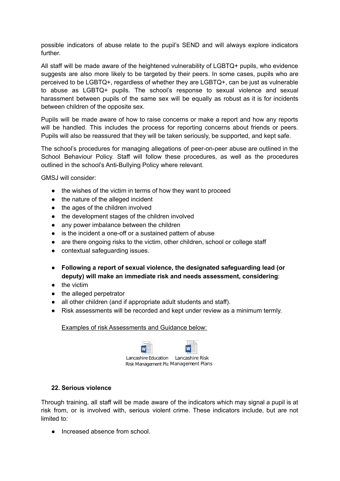possible indicators of abuse relate to the pupil's SEND and will always explore indicators further.

All staff will be made aware of the heightened vulnerability of LGBTQ+ pupils, who evidence suggests are also more likely to be targeted by their peers. In some cases, pupils who are perceived to be LGBTQ+, regardless of whether they are LGBTQ+, can be just as vulnerable to abuse as LGBTQ+ pupils. The school's response to sexual violence and sexual harassment between pupils of the same sex will be equally as robust as it is for incidents between children of the opposite sex.

Pupils will be made aware of how to raise concerns or make a report and how any reports will be handled. This includes the process for reporting concerns about friends or peers. Pupils will also be reassured that they will be taken seriously, be supported, and kept safe.

The school's procedures for managing allegations of peer-on-peer abuse are outlined in the School Behaviour Policy. Staff will follow these procedures, as well as the procedures outlined in the school's Anti-Bullying Policy where relevant.

GMSJ will consider:

- the wishes of the victim in terms of how they want to proceed
- the nature of the alleged incident
- the ages of the children involved
- the development stages of the children involved
- any power imbalance between the children
- is the incident a one-off or a sustained pattern of abuse
- are there ongoing risks to the victim, other children, school or college staff
- contextual safeguarding issues.
- **Following a report of sexual violence, the designated safeguarding lead (or deputy) will make an immediate risk and needs assessment, considering**:
- the victim
- the alleged perpetrator
- all other children (and if appropriate adult students and staff).
- Risk assessments will be recorded and kept under review as a minimum termly.

Examples of risk Assessments and Guidance below:

| re Education | Lancashire Ris |
|--------------|----------------|

Lancashi sk Risk Management Pla Management Plans

# **22. Serious violence**

Through training, all staff will be made aware of the indicators which may signal a pupil is at risk from, or is involved with, serious violent crime. These indicators include, but are not limited to:

• Increased absence from school.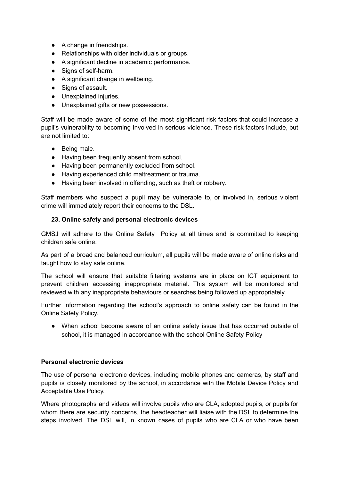- A change in friendships.
- Relationships with older individuals or groups.
- A significant decline in academic performance.
- Signs of self-harm.
- A significant change in wellbeing.
- Signs of assault.
- Unexplained injuries.
- Unexplained gifts or new possessions.

Staff will be made aware of some of the most significant risk factors that could increase a pupil's vulnerability to becoming involved in serious violence. These risk factors include, but are not limited to:

- Being male.
- Having been frequently absent from school.
- Having been permanently excluded from school.
- Having experienced child maltreatment or trauma.
- Having been involved in offending, such as theft or robbery.

Staff members who suspect a pupil may be vulnerable to, or involved in, serious violent crime will immediately report their concerns to the DSL.

#### **23. Online safety and personal electronic devices**

GMSJ will adhere to the Online Safety Policy at all times and is committed to keeping children safe online.

As part of a broad and balanced curriculum, all pupils will be made aware of online risks and taught how to stay safe online.

The school will ensure that suitable filtering systems are in place on ICT equipment to prevent children accessing inappropriate material. This system will be monitored and reviewed with any inappropriate behaviours or searches being followed up appropriately.

Further information regarding the school's approach to online safety can be found in the Online Safety Policy.

● When school become aware of an online safety issue that has occurred outside of school, it is managed in accordance with the school Online Safety Policy

#### **Personal electronic devices**

The use of personal electronic devices, including mobile phones and cameras, by staff and pupils is closely monitored by the school, in accordance with the Mobile Device Policy and Acceptable Use Policy.

Where photographs and videos will involve pupils who are CLA, adopted pupils, or pupils for whom there are security concerns, the headteacher will liaise with the DSL to determine the steps involved. The DSL will, in known cases of pupils who are CLA or who have been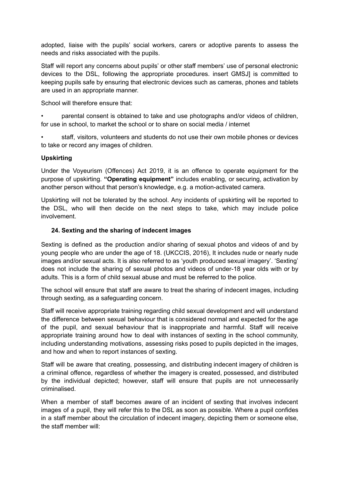adopted, liaise with the pupils' social workers, carers or adoptive parents to assess the needs and risks associated with the pupils.

Staff will report any concerns about pupils' or other staff members' use of personal electronic devices to the DSL, following the appropriate procedures. insert GMSJ] is committed to keeping pupils safe by ensuring that electronic devices such as cameras, phones and tablets are used in an appropriate manner.

School will therefore ensure that:

• parental consent is obtained to take and use photographs and/or videos of children, for use in school, to market the school or to share on social media / internet

• staff, visitors, volunteers and students do not use their own mobile phones or devices to take or record any images of children.

## **Upskirting**

Under the Voyeurism (Offences) Act 2019, it is an offence to operate equipment for the purpose of upskirting. **"Operating equipment"** includes enabling, or securing, activation by another person without that person's knowledge, e.g. a motion-activated camera.

Upskirting will not be tolerated by the school. Any incidents of upskirting will be reported to the DSL, who will then decide on the next steps to take, which may include police involvement.

## **24. Sexting and the sharing of indecent images**

Sexting is defined as the production and/or sharing of sexual photos and videos of and by young people who are under the age of 18. (UKCCIS, 2016), It includes nude or nearly nude images and/or sexual acts. It is also referred to as 'youth produced sexual imagery'. 'Sexting' does not include the sharing of sexual photos and videos of under-18 year olds with or by adults. This is a form of child sexual abuse and must be referred to the police.

The school will ensure that staff are aware to treat the sharing of indecent images, including through sexting, as a safeguarding concern.

Staff will receive appropriate training regarding child sexual development and will understand the difference between sexual behaviour that is considered normal and expected for the age of the pupil, and sexual behaviour that is inappropriate and harmful. Staff will receive appropriate training around how to deal with instances of sexting in the school community, including understanding motivations, assessing risks posed to pupils depicted in the images, and how and when to report instances of sexting.

Staff will be aware that creating, possessing, and distributing indecent imagery of children is a criminal offence, regardless of whether the imagery is created, possessed, and distributed by the individual depicted; however, staff will ensure that pupils are not unnecessarily criminalised.

When a member of staff becomes aware of an incident of sexting that involves indecent images of a pupil, they will refer this to the DSL as soon as possible. Where a pupil confides in a staff member about the circulation of indecent imagery, depicting them or someone else, the staff member will: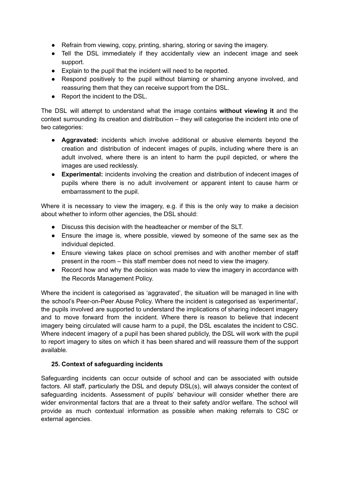- Refrain from viewing, copy, printing, sharing, storing or saving the imagery.
- Tell the DSL immediately if they accidentally view an indecent image and seek support.
- Explain to the pupil that the incident will need to be reported.
- Respond positively to the pupil without blaming or shaming anyone involved, and reassuring them that they can receive support from the DSL.
- Report the incident to the DSL.

The DSL will attempt to understand what the image contains **without viewing it** and the context surrounding its creation and distribution – they will categorise the incident into one of two categories:

- **Aggravated:** incidents which involve additional or abusive elements beyond the creation and distribution of indecent images of pupils, including where there is an adult involved, where there is an intent to harm the pupil depicted, or where the images are used recklessly.
- **Experimental:** incidents involving the creation and distribution of indecent images of pupils where there is no adult involvement or apparent intent to cause harm or embarrassment to the pupil.

Where it is necessary to view the imagery, e.g. if this is the only way to make a decision about whether to inform other agencies, the DSL should:

- Discuss this decision with the headteacher or member of the SLT.
- Ensure the image is, where possible, viewed by someone of the same sex as the individual depicted.
- Ensure viewing takes place on school premises and with another member of staff present in the room – this staff member does not need to view the imagery.
- Record how and why the decision was made to view the imagery in accordance with the Records Management Policy.

Where the incident is categorised as 'aggravated', the situation will be managed in line with the school's Peer-on-Peer Abuse Policy. Where the incident is categorised as 'experimental', the pupils involved are supported to understand the implications of sharing indecent imagery and to move forward from the incident. Where there is reason to believe that indecent imagery being circulated will cause harm to a pupil, the DSL escalates the incident to CSC. Where indecent imagery of a pupil has been shared publicly, the DSL will work with the pupil to report imagery to sites on which it has been shared and will reassure them of the support available.

#### **25. Context of safeguarding incidents**

Safeguarding incidents can occur outside of school and can be associated with outside factors. All staff, particularly the DSL and deputy DSL(s), will always consider the context of safeguarding incidents. Assessment of pupils' behaviour will consider whether there are wider environmental factors that are a threat to their safety and/or welfare. The school will provide as much contextual information as possible when making referrals to CSC or external agencies.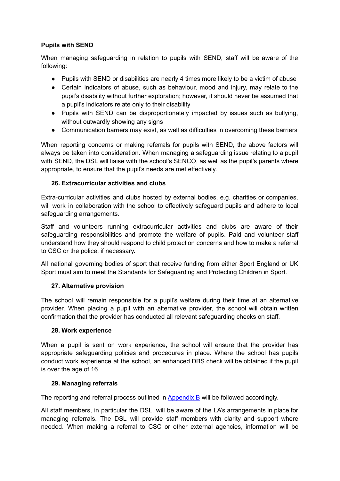## **Pupils with SEND**

When managing safeguarding in relation to pupils with SEND, staff will be aware of the following:

- Pupils with SEND or disabilities are nearly 4 times more likely to be a victim of abuse
- Certain indicators of abuse, such as behaviour, mood and injury, may relate to the pupil's disability without further exploration; however, it should never be assumed that a pupil's indicators relate only to their disability
- Pupils with SEND can be disproportionately impacted by issues such as bullying, without outwardly showing any signs
- Communication barriers may exist, as well as difficulties in overcoming these barriers

When reporting concerns or making referrals for pupils with SEND, the above factors will always be taken into consideration. When managing a safeguarding issue relating to a pupil with SEND, the DSL will liaise with the school's SENCO, as well as the pupil's parents where appropriate, to ensure that the pupil's needs are met effectively.

## **26. Extracurricular activities and clubs**

Extra-curricular activities and clubs hosted by external bodies, e.g. charities or companies, will work in collaboration with the school to effectively safeguard pupils and adhere to local safeguarding arrangements.

Staff and volunteers running extracurricular activities and clubs are aware of their safeguarding responsibilities and promote the welfare of pupils. Paid and volunteer staff understand how they should respond to child protection concerns and how to make a referral to CSC or the police, if necessary.

All national governing bodies of sport that receive funding from either Sport England or UK Sport must aim to meet the Standards for Safeguarding and Protecting Children in Sport.

# **27. Alternative provision**

The school will remain responsible for a pupil's welfare during their time at an alternative provider. When placing a pupil with an alternative provider, the school will obtain written confirmation that the provider has conducted all relevant safeguarding checks on staff.

#### **28. Work experience**

When a pupil is sent on work experience, the school will ensure that the provider has appropriate safeguarding policies and procedures in place. Where the school has pupils conduct work experience at the school, an enhanced DBS check will be obtained if the pupil is over the age of 16.

#### **29. Managing referrals**

The reporting and referral process outlined in Appendix B will be followed accordingly.

All staff members, in particular the DSL, will be aware of the LA's arrangements in place for managing referrals. The DSL will provide staff members with clarity and support where needed. When making a referral to CSC or other external agencies, information will be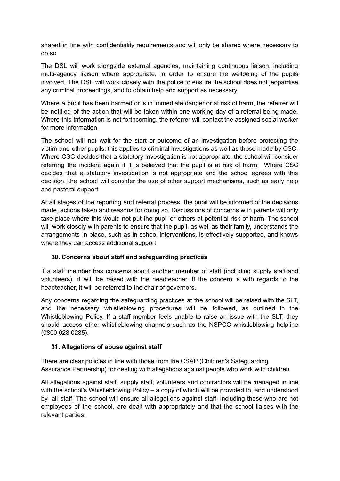shared in line with confidentiality requirements and will only be shared where necessary to do so.

The DSL will work alongside external agencies, maintaining continuous liaison, including multi-agency liaison where appropriate, in order to ensure the wellbeing of the pupils involved. The DSL will work closely with the police to ensure the school does not jeopardise any criminal proceedings, and to obtain help and support as necessary.

Where a pupil has been harmed or is in immediate danger or at risk of harm, the referrer will be notified of the action that will be taken within one working day of a referral being made. Where this information is not forthcoming, the referrer will contact the assigned social worker for more information.

The school will not wait for the start or outcome of an investigation before protecting the victim and other pupils: this applies to criminal investigations as well as those made by CSC. Where CSC decides that a statutory investigation is not appropriate, the school will consider referring the incident again if it is believed that the pupil is at risk of harm. Where CSC decides that a statutory investigation is not appropriate and the school agrees with this decision, the school will consider the use of other support mechanisms, such as early help and pastoral support.

At all stages of the reporting and referral process, the pupil will be informed of the decisions made, actions taken and reasons for doing so. Discussions of concerns with parents will only take place where this would not put the pupil or others at potential risk of harm. The school will work closely with parents to ensure that the pupil, as well as their family, understands the arrangements in place, such as in-school interventions, is effectively supported, and knows where they can access additional support.

# **30. Concerns about staff and safeguarding practices**

If a staff member has concerns about another member of staff (including supply staff and volunteers), it will be raised with the headteacher. If the concern is with regards to the headteacher, it will be referred to the chair of governors.

Any concerns regarding the safeguarding practices at the school will be raised with the SLT, and the necessary whistleblowing procedures will be followed, as outlined in the Whistleblowing Policy. If a staff member feels unable to raise an issue with the SLT, they should access other whistleblowing channels such as the NSPCC whistleblowing helpline (0800 028 0285).

#### **31. Allegations of abuse against staff**

There are clear policies in line with those from the CSAP (Children's Safeguarding Assurance Partnership) for dealing with allegations against people who work with children.

All allegations against staff, supply staff, volunteers and contractors will be managed in line with the school's Whistleblowing Policy – a copy of which will be provided to, and understood by, all staff. The school will ensure all allegations against staff, including those who are not employees of the school, are dealt with appropriately and that the school liaises with the relevant parties.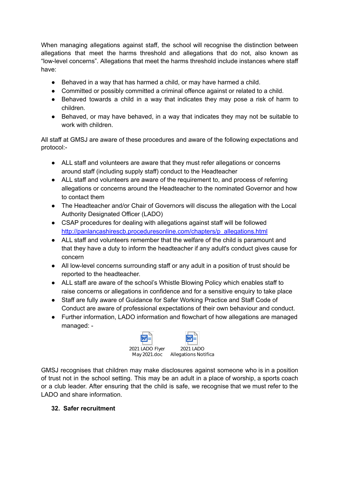When managing allegations against staff, the school will recognise the distinction between allegations that meet the harms threshold and allegations that do not, also known as "low-level concerns". Allegations that meet the harms threshold include instances where staff have:

- Behaved in a way that has harmed a child, or may have harmed a child.
- Committed or possibly committed a criminal offence against or related to a child.
- Behaved towards a child in a way that indicates they may pose a risk of harm to children.
- Behaved, or may have behaved, in a way that indicates they may not be suitable to work with children.

All staff at GMSJ are aware of these procedures and aware of the following expectations and protocol:-

- ALL staff and volunteers are aware that they must refer allegations or concerns around staff (including supply staff) conduct to the Headteacher
- ALL staff and volunteers are aware of the requirement to, and process of referring allegations or concerns around the Headteacher to the nominated Governor and how to contact them
- The Headteacher and/or Chair of Governors will discuss the allegation with the Local Authority Designated Officer (LADO)
- CSAP procedures for dealing with allegations against staff will be followed [http://panlancashirescb.proceduresonline.com/chapters/p\\_allegations.html](http://panlancashirescb.proceduresonline.com/chapters/p_allegations.html)
- ALL staff and volunteers remember that the welfare of the child is paramount and that they have a duty to inform the headteacher if any adult's conduct gives cause for concern
- All low-level concerns surrounding staff or any adult in a position of trust should be reported to the headteacher.
- ALL staff are aware of the school's Whistle Blowing Policy which enables staff to raise concerns or allegations in confidence and for a sensitive enquiry to take place
- Staff are fully aware of Guidance for Safer Working Practice and Staff Code of Conduct are aware of professional expectations of their own behaviour and conduct.
- Further information, LADO information and flowchart of how allegations are managed managed: -



GMSJ recognises that children may make disclosures against someone who is in a position of trust not in the school setting. This may be an adult in a place of worship, a sports coach or a club leader. After ensuring that the child is safe, we recognise that we must refer to the LADO and share information.

# **32. Safer recruitment**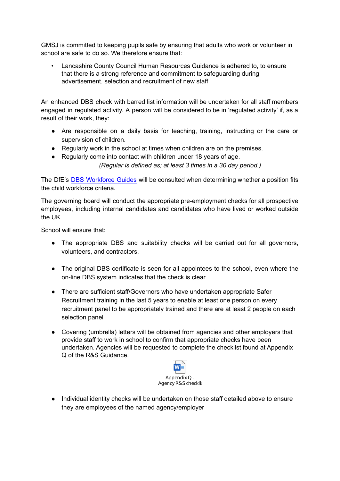GMSJ is committed to keeping pupils safe by ensuring that adults who work or volunteer in school are safe to do so. We therefore ensure that:

• Lancashire County Council Human Resources Guidance is adhered to, to ensure that there is a strong reference and commitment to safeguarding during advertisement, selection and recruitment of new staff

An enhanced DBS check with barred list information will be undertaken for all staff members engaged in regulated activity. A person will be considered to be in 'regulated activity' if, as a result of their work, they:

- Are responsible on a daily basis for teaching, training, instructing or the care or supervision of children.
- Regularly work in the school at times when children are on the premises.
- Regularly come into contact with children under 18 years of age.

*(Regular is defined as; at least 3 times in a 30 day period.)*

The DfE's DBS [Workforce](https://www.gov.uk/government/publications/dbs-workforce-guidance) Guides will be consulted when determining whether a position fits the child workforce criteria.

The governing board will conduct the appropriate pre-employment checks for all prospective employees, including internal candidates and candidates who have lived or worked outside the UK.

School will ensure that:

- The appropriate DBS and suitability checks will be carried out for all governors, volunteers, and contractors.
- The original DBS certificate is seen for all appointees to the school, even where the on-line DBS system indicates that the check is clear
- There are sufficient staff/Governors who have undertaken appropriate Safer Recruitment training in the last 5 years to enable at least one person on every recruitment panel to be appropriately trained and there are at least 2 people on each selection panel
- Covering (umbrella) letters will be obtained from agencies and other employers that provide staff to work in school to confirm that appropriate checks have been undertaken. Agencies will be requested to complete the checklist found at Appendix Q of the R&S Guidance.



● Individual identity checks will be undertaken on those staff detailed above to ensure they are employees of the named agency/employer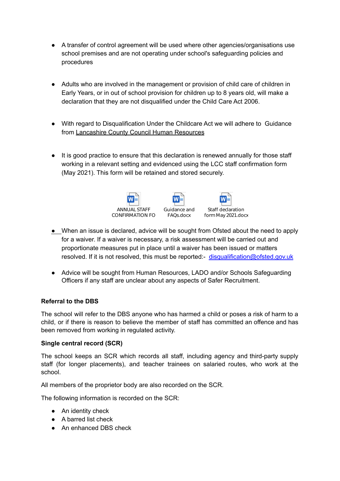- A transfer of control agreement will be used where other agencies/organisations use school premises and are not operating under school's safeguarding policies and procedures
- Adults who are involved in the management or provision of child care of children in Early Years, or in out of school provision for children up to 8 years old, will make a declaration that they are not disqualified under the Child Care Act 2006.
- With regard to Disqualification Under the Childcare Act we will adhere to Guidance from Lancashire County Council Human Resources
- It is good practice to ensure that this declaration is renewed annually for those staff working in a relevant setting and evidenced using the LCC staff confirmation form (May 2021). This form will be retained and stored securely.



- When an issue is declared, advice will be sought from Ofsted about the need to apply for a waiver. If a waiver is necessary, a risk assessment will be carried out and proportionate measures put in place until a waiver has been issued or matters resolved. If it is not resolved, this must be reported: [disqualification@ofsted.gov.uk](mailto:disqualification@ofsted.gov.uk)
- Advice will be sought from Human Resources, LADO and/or Schools Safeguarding Officers if any staff are unclear about any aspects of Safer Recruitment.

# **Referral to the DBS**

The school will refer to the DBS anyone who has harmed a child or poses a risk of harm to a child, or if there is reason to believe the member of staff has committed an offence and has been removed from working in regulated activity.

#### **Single central record (SCR)**

The school keeps an SCR which records all staff, including agency and third-party supply staff (for longer placements), and teacher trainees on salaried routes, who work at the school.

All members of the proprietor body are also recorded on the SCR.

The following information is recorded on the SCR:

- An identity check
- A barred list check
- An enhanced DBS check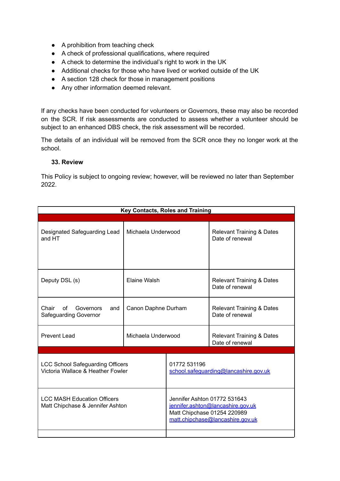- A prohibition from teaching check
- A check of professional qualifications, where required
- A check to determine the individual's right to work in the UK
- Additional checks for those who have lived or worked outside of the UK
- A section 128 check for those in management positions
- Any other information deemed relevant.

If any checks have been conducted for volunteers or Governors, these may also be recorded on the SCR. If risk assessments are conducted to assess whether a volunteer should be subject to an enhanced DBS check, the risk assessment will be recorded.

The details of an individual will be removed from the SCR once they no longer work at the school.

#### **33. Review**

This Policy is subject to ongoing review; however, will be reviewed no later than September 2022.

| <b>Key Contacts, Roles and Training</b>                                      |                     |                                                                                                                                      |                                                         |  |
|------------------------------------------------------------------------------|---------------------|--------------------------------------------------------------------------------------------------------------------------------------|---------------------------------------------------------|--|
|                                                                              |                     |                                                                                                                                      |                                                         |  |
| Designated Safeguarding Lead<br>and HT                                       | Michaela Underwood  |                                                                                                                                      | <b>Relevant Training &amp; Dates</b><br>Date of renewal |  |
| Deputy DSL (s)                                                               | <b>Elaine Walsh</b> |                                                                                                                                      | <b>Relevant Training &amp; Dates</b><br>Date of renewal |  |
| Chair<br>of<br>Governors<br>and<br>Safeguarding Governor                     | Canon Daphne Durham |                                                                                                                                      | <b>Relevant Training &amp; Dates</b><br>Date of renewal |  |
| <b>Prevent Lead</b>                                                          | Michaela Underwood  |                                                                                                                                      | <b>Relevant Training &amp; Dates</b><br>Date of renewal |  |
|                                                                              |                     |                                                                                                                                      |                                                         |  |
| <b>LCC School Safeguarding Officers</b><br>Victoria Wallace & Heather Fowler |                     | 01772 531196<br>school.safeguarding@lancashire.gov.uk                                                                                |                                                         |  |
| <b>LCC MASH Education Officers</b><br>Matt Chipchase & Jennifer Ashton       |                     | Jennifer Ashton 01772 531643<br>jennifer.ashton@lancashire.gov.uk<br>Matt Chipchase 01254 220989<br>matt.chipchase@lancashire.gov.uk |                                                         |  |
|                                                                              |                     |                                                                                                                                      |                                                         |  |